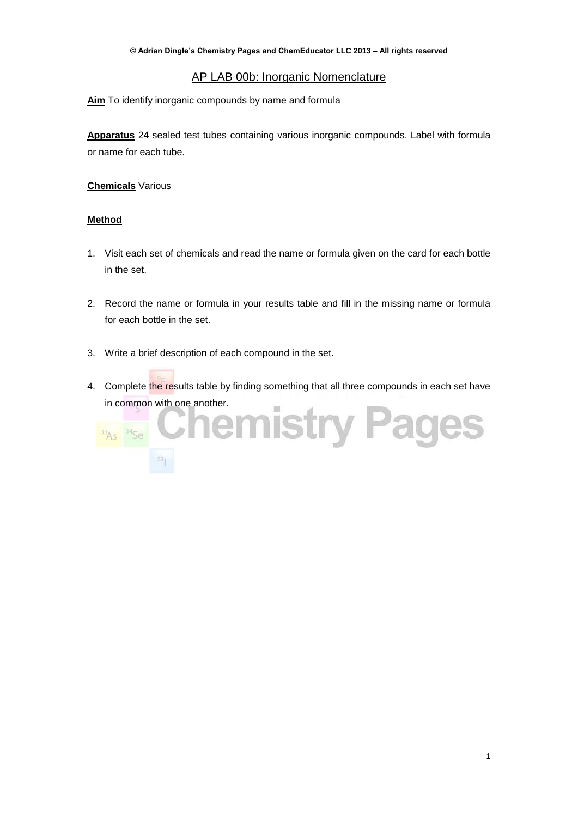# AP LAB 00b: Inorganic Nomenclature

**Aim** To identify inorganic compounds by name and formula

**Apparatus** 24 sealed test tubes containing various inorganic compounds. Label with formula or name for each tube.

## **Chemicals** Various

### **Method**

- 1. Visit each set of chemicals and read the name or formula given on the card for each bottle in the set.
- 2. Record the name or formula in your results table and fill in the missing name or formula for each bottle in the set.
- 3. Write a brief description of each compound in the set.
- 4. Complete the results table by finding something that all three compounds in each set have

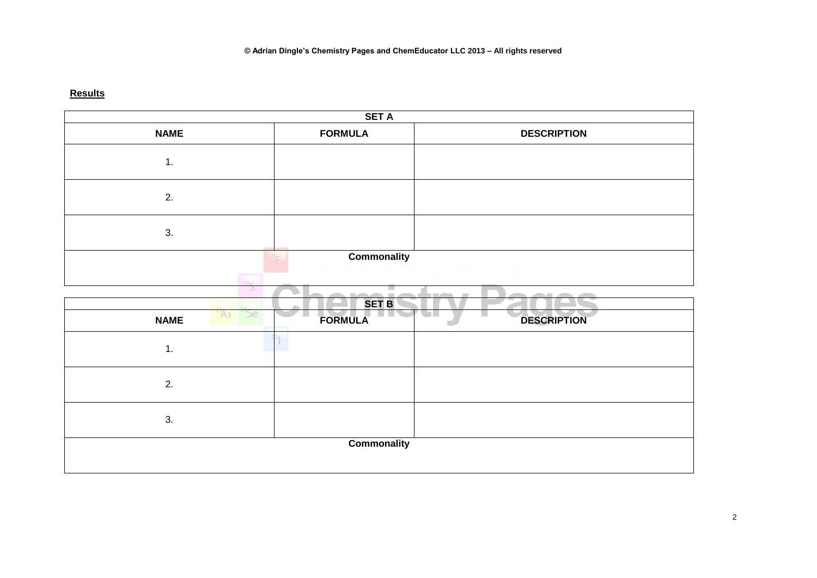# **Results**

| <b>SET A</b>       |                    |                    |  |  |  |  |
|--------------------|--------------------|--------------------|--|--|--|--|
| <b>NAME</b>        | <b>FORMULA</b>     | <b>DESCRIPTION</b> |  |  |  |  |
| 1.                 |                    |                    |  |  |  |  |
| 2.                 |                    |                    |  |  |  |  |
| 3.                 |                    |                    |  |  |  |  |
|                    | <b>Commonality</b> |                    |  |  |  |  |
|                    |                    |                    |  |  |  |  |
| l16m               |                    |                    |  |  |  |  |
| Þ                  | $\equiv$           | $=1.6333$          |  |  |  |  |
| As Se              | <b>SET B</b>       | m i                |  |  |  |  |
| <b>NAME</b>        | FORMULA            | <b>DESCRIPTION</b> |  |  |  |  |
| 1.                 |                    |                    |  |  |  |  |
| 2.                 |                    |                    |  |  |  |  |
| 3.                 |                    |                    |  |  |  |  |
| <b>Commonality</b> |                    |                    |  |  |  |  |
|                    |                    |                    |  |  |  |  |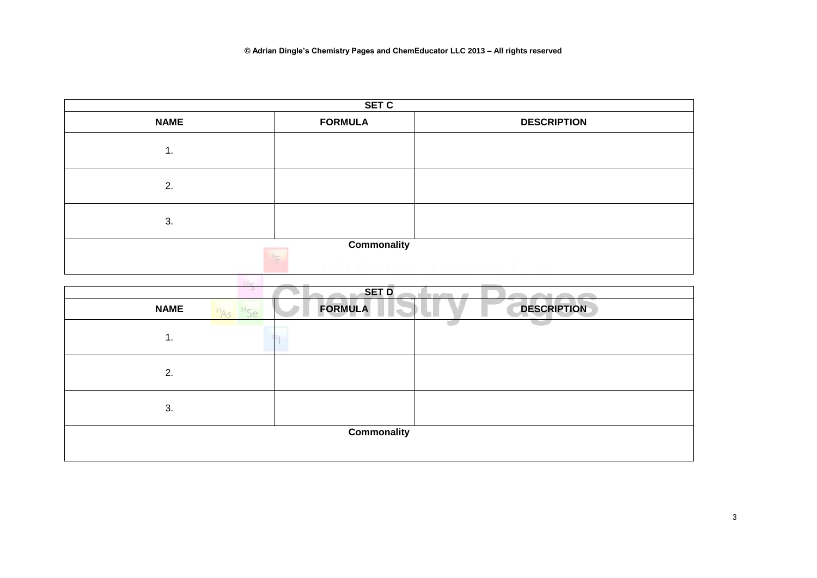

| <b>Billing</b><br>91<br><b>SET D</b> |  |                |  |                    |  |
|--------------------------------------|--|----------------|--|--------------------|--|
| <b>NAME</b>                          |  | <b>FORMULA</b> |  | <b>DESCRIPTION</b> |  |
| 1.                                   |  |                |  |                    |  |
| 2.                                   |  |                |  |                    |  |
| 3.                                   |  |                |  |                    |  |
| <b>Commonality</b>                   |  |                |  |                    |  |
|                                      |  |                |  |                    |  |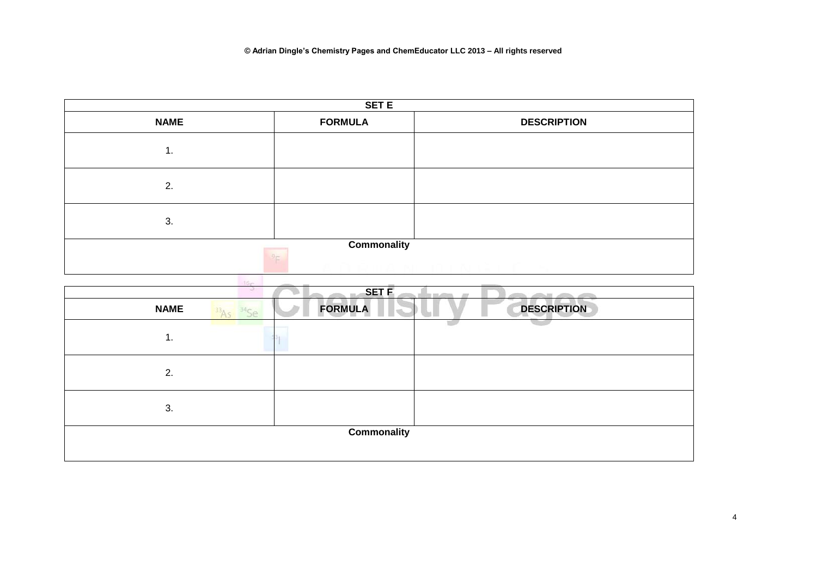

| --<br>w.<br><b>SET F</b> |                       |                    |  |  |  |
|--------------------------|-----------------------|--------------------|--|--|--|
| <b>NAME</b>              | <b>FORMULA</b><br>'Se | <b>DESCRIPTION</b> |  |  |  |
| 1.                       |                       |                    |  |  |  |
| 2.                       |                       |                    |  |  |  |
| 3.                       |                       |                    |  |  |  |
| Commonality              |                       |                    |  |  |  |
|                          |                       |                    |  |  |  |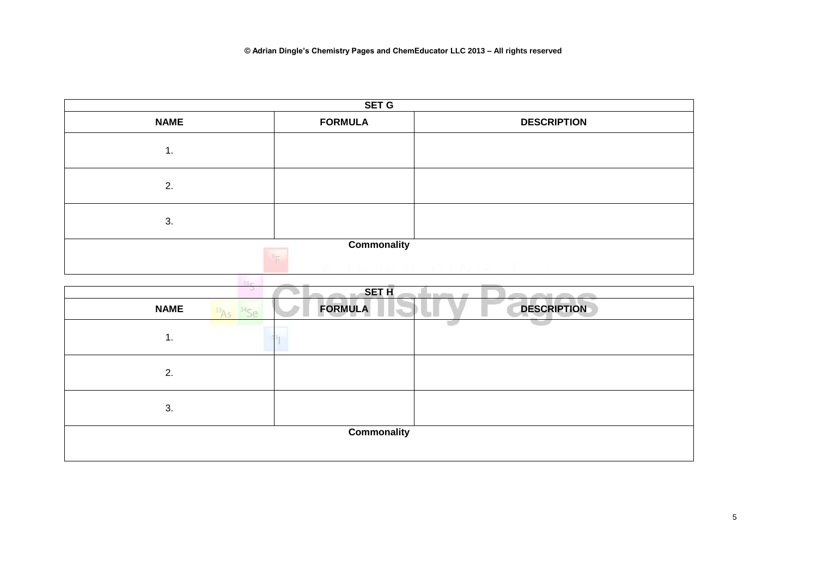

| <b>Billing</b><br>91<br><b>SET H</b> |                |                    |  |  |  |
|--------------------------------------|----------------|--------------------|--|--|--|
| <b>NAME</b>                          | <b>FORMULA</b> | <b>DESCRIPTION</b> |  |  |  |
| 1.                                   |                |                    |  |  |  |
| 2.                                   |                |                    |  |  |  |
| 3.                                   |                |                    |  |  |  |
| <b>Commonality</b>                   |                |                    |  |  |  |
|                                      |                |                    |  |  |  |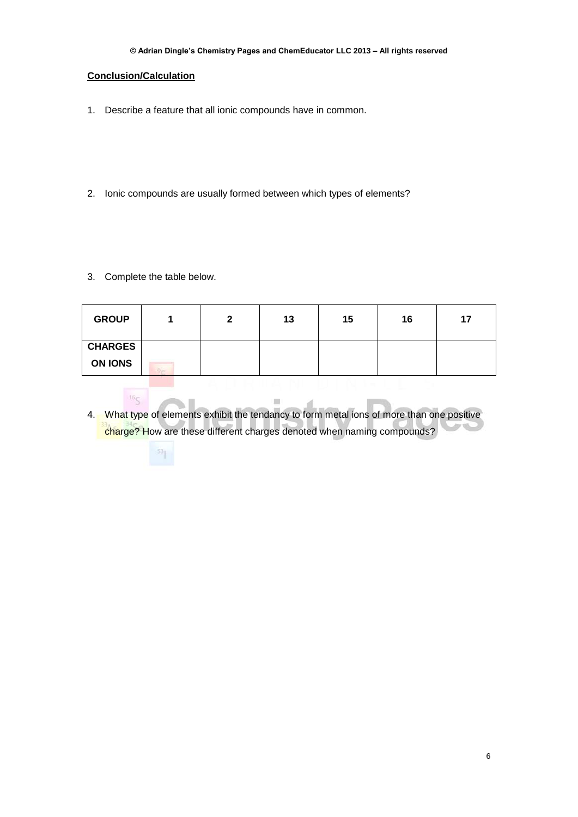#### **© Adrian Dingle's Chemistry Pages and ChemEducator LLC 2013 – All rights reserved**

#### **Conclusion/Calculation**

- 1. Describe a feature that all ionic compounds have in common.
- 2. Ionic compounds are usually formed between which types of elements?
- 3. Complete the table below.

16<sub>C</sub>

| <b>GROUP</b>   |                  | 2 | 13 | 15 | 16 | 17 |
|----------------|------------------|---|----|----|----|----|
| <b>CHARGES</b> |                  |   |    |    |    |    |
| <b>ON IONS</b> | $D_{\text{max}}$ |   |    |    |    |    |

55 I 4. What type of elements exhibit the tendancy to form metal ions of more than one positive charge? How are these different charges denoted when naming compounds?

 $\equiv$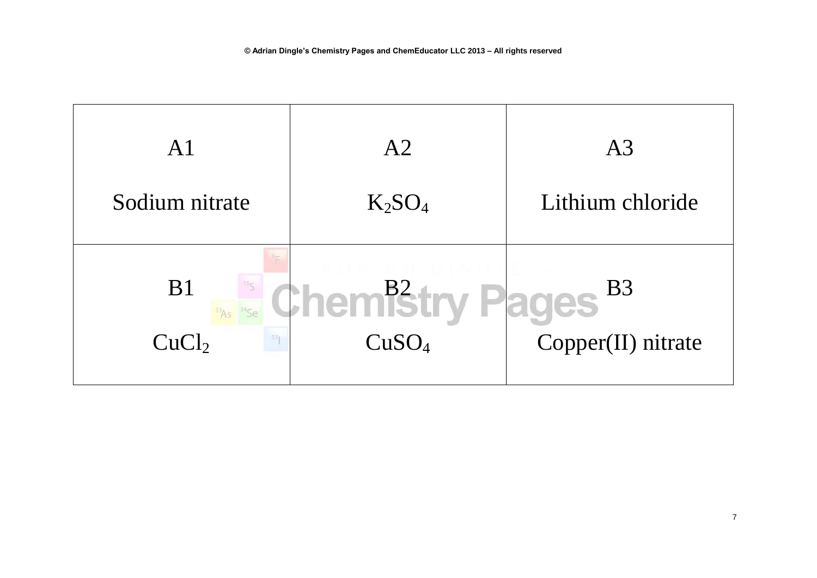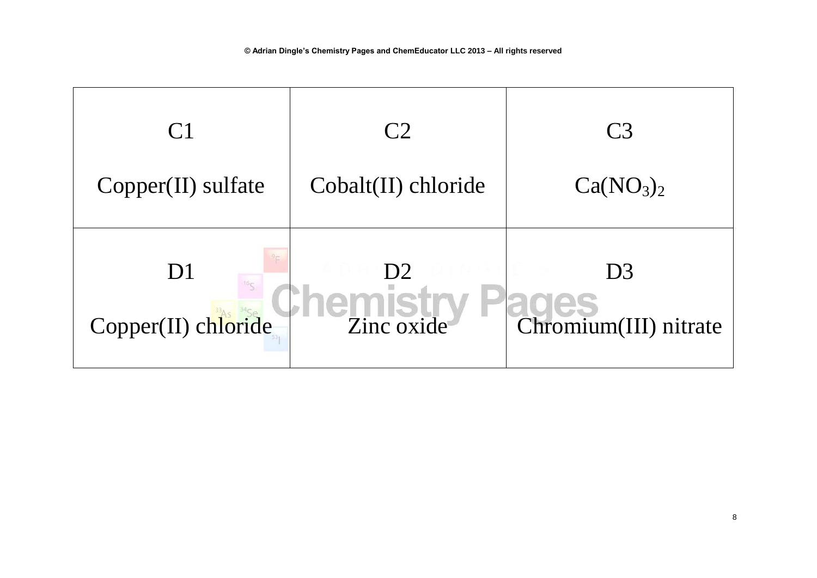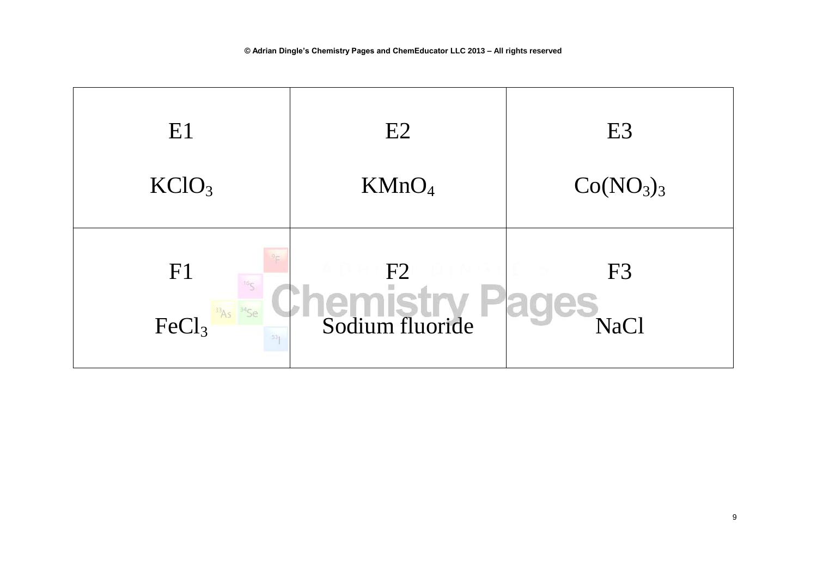